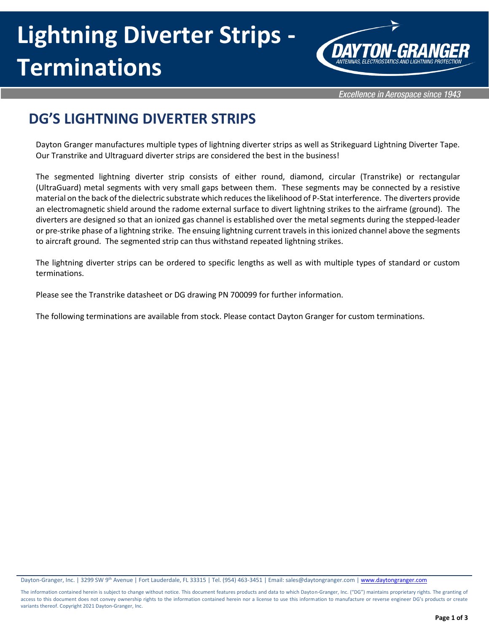

**Excellence in Aerospace since 1943** 

## **DG'S LIGHTNING DIVERTER STRIPS**

Dayton Granger manufactures multiple types of lightning diverter strips as well as Strikeguard Lightning Diverter Tape. Our Transtrike and Ultraguard diverter strips are considered the best in the business!

The segmented lightning diverter strip consists of either round, diamond, circular (Transtrike) or rectangular (UltraGuard) metal segments with very small gaps between them. These segments may be connected by a resistive material on the back of the dielectric substrate which reduces the likelihood of P-Stat interference. The diverters provide an electromagnetic shield around the radome external surface to divert lightning strikes to the airframe (ground). The diverters are designed so that an ionized gas channel is established over the metal segments during the stepped-leader or pre-strike phase of a lightning strike. The ensuing lightning current travels in this ionized channel above the segments to aircraft ground. The segmented strip can thus withstand repeated lightning strikes.

The lightning diverter strips can be ordered to specific lengths as well as with multiple types of standard or custom terminations.

Please see the Transtrike datasheet or DG drawing PN 700099 for further information.

The following terminations are available from stock. Please contact Dayton Granger for custom terminations.

Dayton-Granger, Inc. | 3299 SW 9<sup>th</sup> Avenue | Fort Lauderdale, FL 33315 | Tel. (954) 463-3451 | Email: sales@daytongranger.com [| www.daytongranger.com](http://www.daytongranger.com/)

The information contained herein is subject to change without notice. This document features products and data to which Dayton-Granger, Inc. ("DG") maintains proprietary rights. The granting of access to this document does not convey ownership rights to the information contained herein nor a license to use this information to manufacture or reverse engineer DG's products or create variants thereof. Copyright 2021 Dayton-Granger, Inc.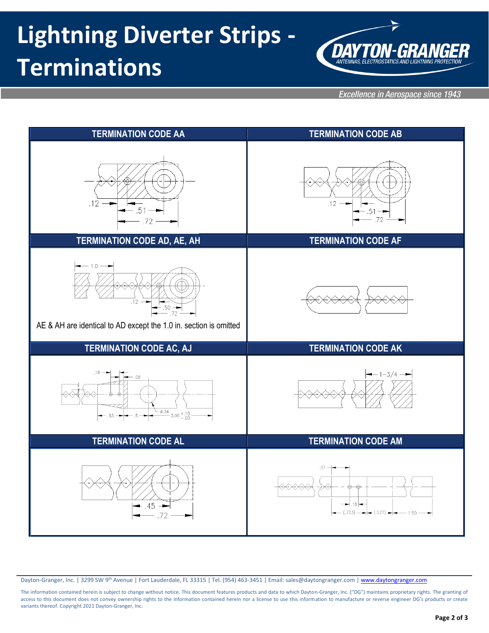

Excellence in Aerospace since 1943



Dayton-Granger, Inc. | 3299 SW 9<sup>th</sup> Avenue | Fort Lauderdale, FL 33315 | Tel. (954) 463-3451 | Email: sales@daytongranger.com [| www.daytongranger.com](http://www.daytongranger.com/)

The information contained herein is subject to change without notice. This document features products and data to which Dayton-Granger, Inc. ("DG") maintains proprietary rights. The granting of access to this document does not convey ownership rights to the information contained herein nor a license to use this information to manufacture or reverse engineer DG's products or create variants thereof. Copyright 2021 Dayton-Granger, Inc.